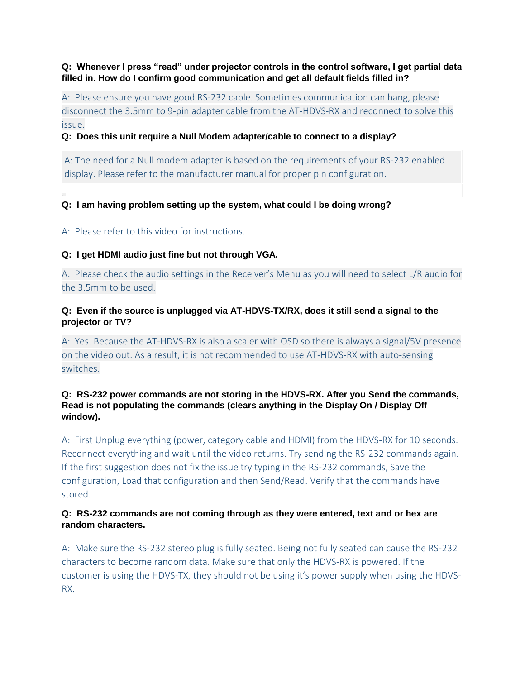**Q: Whenever I press "read" under projector controls in the control software, I get partial data filled in. How do I confirm good communication and get all default fields filled in?**

A: Please ensure you have good RS-232 cable. Sometimes communication can hang, please disconnect the 3.5mm to 9-pin adapter cable from the AT-HDVS-RX and reconnect to solve this issue.

### **Q: Does this unit require a Null Modem adapter/cable to connect to a display?**

A: The need for a Null modem adapter is based on the requirements of your RS-232 enabled display. Please refer to the manufacturer manual for proper pin configuration.

# **Q: I am having problem setting up the system, what could I be doing wrong?**

A: Please refer to this [video](http://www.youtube.com/watch?v=5ZjeZheGV1M) for instructions.

### **Q: I get HDMI audio just fine but not through VGA.**

A: Please check the audio settings in the Receiver's Menu as you will need to select L/R audio for the 3.5mm to be used.

# **Q: Even if the source is unplugged via AT-HDVS-TX/RX, does it still send a signal to the projector or TV?**

A: Yes. Because the AT-HDVS-RX is also a scaler with OSD so there is always a signal/5V presence on the video out. As a result, it is not recommended to use AT-HDVS-RX with auto-sensing switches.

### **Q: RS-232 power commands are not storing in the HDVS-RX. After you Send the commands, Read is not populating the commands (clears anything in the Display On / Display Off window).**

A: First Unplug everything (power, category cable and HDMI) from the HDVS-RX for 10 seconds. Reconnect everything and wait until the video returns. Try sending the RS-232 commands again. If the first suggestion does not fix the issue try typing in the RS-232 commands, Save the configuration, Load that configuration and then Send/Read. Verify that the commands have stored.

### **Q: RS-232 commands are not coming through as they were entered, text and or hex are random characters.**

A: Make sure the RS-232 stereo plug is fully seated. Being not fully seated can cause the RS-232 characters to become random data. Make sure that only the HDVS-RX is powered. If the customer is using the HDVS-TX, they should not be using it's power supply when using the HDVS-RX.